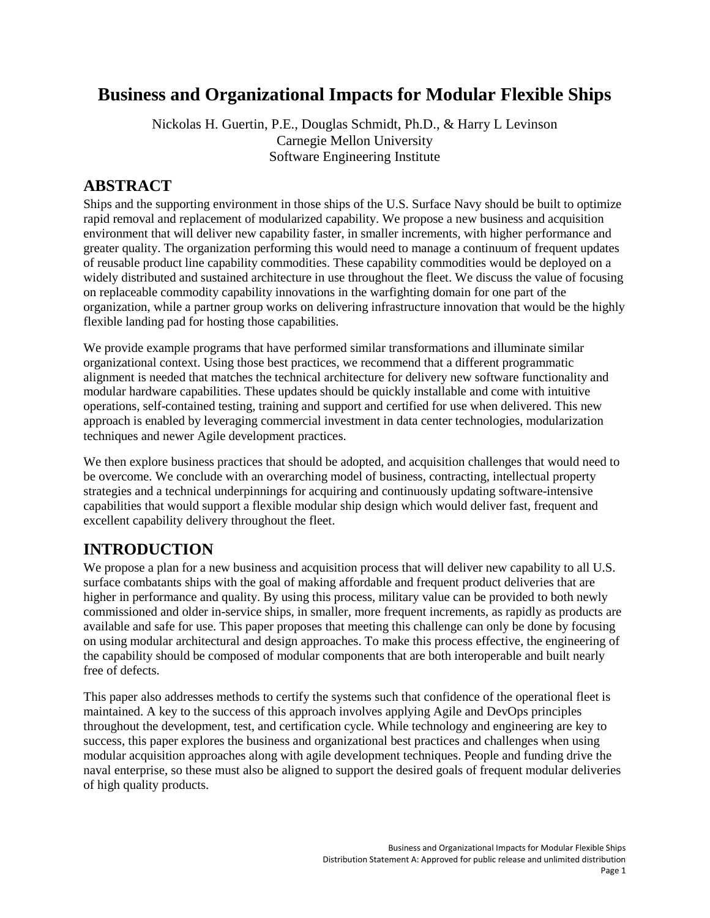# **Business and Organizational Impacts for Modular Flexible Ships**

Nickolas H. Guertin, P.E., Douglas Schmidt, Ph.D., & Harry L Levinson Carnegie Mellon University Software Engineering Institute

#### **ABSTRACT**

Ships and the supporting environment in those ships of the U.S. Surface Navy should be built to optimize rapid removal and replacement of modularized capability. We propose a new business and acquisition environment that will deliver new capability faster, in smaller increments, with higher performance and greater quality. The organization performing this would need to manage a continuum of frequent updates of reusable product line capability commodities. These capability commodities would be deployed on a widely distributed and sustained architecture in use throughout the fleet. We discuss the value of focusing on replaceable commodity capability innovations in the warfighting domain for one part of the organization, while a partner group works on delivering infrastructure innovation that would be the highly flexible landing pad for hosting those capabilities.

We provide example programs that have performed similar transformations and illuminate similar organizational context. Using those best practices, we recommend that a different programmatic alignment is needed that matches the technical architecture for delivery new software functionality and modular hardware capabilities. These updates should be quickly installable and come with intuitive operations, self-contained testing, training and support and certified for use when delivered. This new approach is enabled by leveraging commercial investment in data center technologies, modularization techniques and newer Agile development practices.

We then explore business practices that should be adopted, and acquisition challenges that would need to be overcome. We conclude with an overarching model of business, contracting, intellectual property strategies and a technical underpinnings for acquiring and continuously updating software-intensive capabilities that would support a flexible modular ship design which would deliver fast, frequent and excellent capability delivery throughout the fleet.

## **INTRODUCTION**

We propose a plan for a new business and acquisition process that will deliver new capability to all U.S. surface combatants ships with the goal of making affordable and frequent product deliveries that are higher in performance and quality. By using this process, military value can be provided to both newly commissioned and older in-service ships, in smaller, more frequent increments, as rapidly as products are available and safe for use. This paper proposes that meeting this challenge can only be done by focusing on using modular architectural and design approaches. To make this process effective, the engineering of the capability should be composed of modular components that are both interoperable and built nearly free of defects.

This paper also addresses methods to certify the systems such that confidence of the operational fleet is maintained. A key to the success of this approach involves applying Agile and DevOps principles throughout the development, test, and certification cycle. While technology and engineering are key to success, this paper explores the business and organizational best practices and challenges when using modular acquisition approaches along with agile development techniques. People and funding drive the naval enterprise, so these must also be aligned to support the desired goals of frequent modular deliveries of high quality products.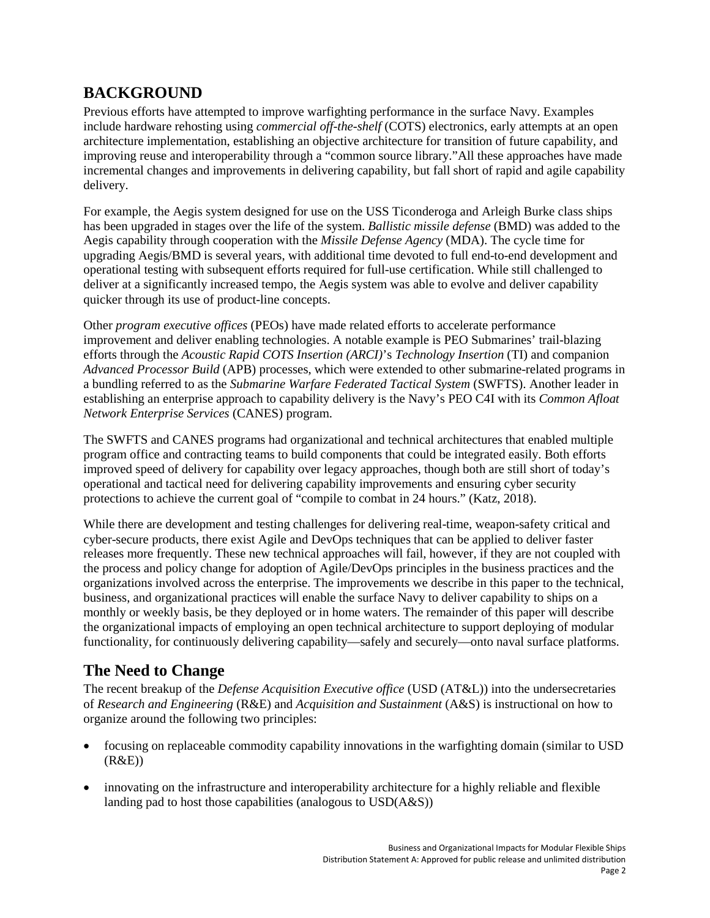## **BACKGROUND**

Previous efforts have attempted to improve warfighting performance in the surface Navy. Examples include hardware rehosting using *commercial off-the-shelf* (COTS) electronics, early attempts at an open architecture implementation, establishing an objective architecture for transition of future capability, and improving reuse and interoperability through a "common source library."All these approaches have made incremental changes and improvements in delivering capability, but fall short of rapid and agile capability delivery.

For example, the Aegis system designed for use on the USS Ticonderoga and Arleigh Burke class ships has been upgraded in stages over the life of the system. *Ballistic missile defense* (BMD) was added to the Aegis capability through cooperation with the *Missile Defense Agency* (MDA). The cycle time for upgrading Aegis/BMD is several years, with additional time devoted to full end-to-end development and operational testing with subsequent efforts required for full-use certification. While still challenged to deliver at a significantly increased tempo, the Aegis system was able to evolve and deliver capability quicker through its use of product-line concepts.

Other *program executive offices* (PEOs) have made related efforts to accelerate performance improvement and deliver enabling technologies. A notable example is PEO Submarines' trail-blazing efforts through the *Acoustic Rapid COTS Insertion (ARCI)*'s *Technology Insertion* (TI) and companion *Advanced Processor Build* (APB) processes, which were extended to other submarine-related programs in a bundling referred to as the *Submarine Warfare Federated Tactical System* (SWFTS). Another leader in establishing an enterprise approach to capability delivery is the Navy's PEO C4I with its *Common Afloat Network Enterprise Services* (CANES) program.

The SWFTS and CANES programs had organizational and technical architectures that enabled multiple program office and contracting teams to build components that could be integrated easily. Both efforts improved speed of delivery for capability over legacy approaches, though both are still short of today's operational and tactical need for delivering capability improvements and ensuring cyber security protections to achieve the current goal of "compile to combat in 24 hours." (Katz, 2018).

While there are development and testing challenges for delivering real-time, weapon-safety critical and cyber-secure products, there exist Agile and DevOps techniques that can be applied to deliver faster releases more frequently. These new technical approaches will fail, however, if they are not coupled with the process and policy change for adoption of Agile/DevOps principles in the business practices and the organizations involved across the enterprise. The improvements we describe in this paper to the technical, business, and organizational practices will enable the surface Navy to deliver capability to ships on a monthly or weekly basis, be they deployed or in home waters. The remainder of this paper will describe the organizational impacts of employing an open technical architecture to support deploying of modular functionality, for continuously delivering capability—safely and securely—onto naval surface platforms.

## **The Need to Change**

The recent breakup of the *Defense Acquisition Executive office* (USD (AT&L)) into the undersecretaries of *Research and Engineering* (R&E) and *Acquisition and Sustainment* (A&S) is instructional on how to organize around the following two principles:

- focusing on replaceable commodity capability innovations in the warfighting domain (similar to USD  $(R&E))$
- innovating on the infrastructure and interoperability architecture for a highly reliable and flexible landing pad to host those capabilities (analogous to USD(A&S))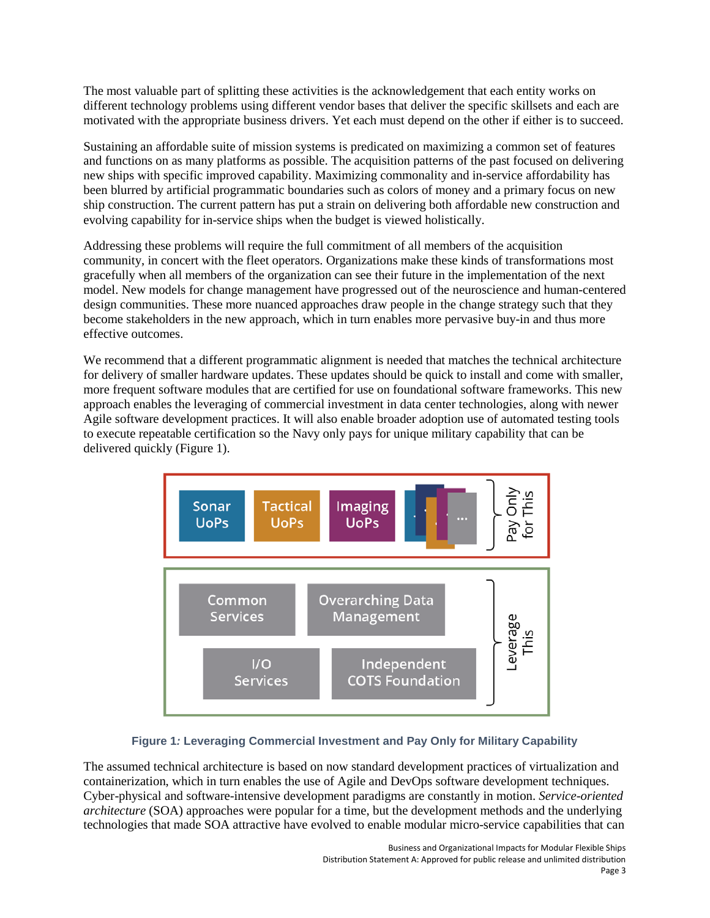The most valuable part of splitting these activities is the acknowledgement that each entity works on different technology problems using different vendor bases that deliver the specific skillsets and each are motivated with the appropriate business drivers. Yet each must depend on the other if either is to succeed.

Sustaining an affordable suite of mission systems is predicated on maximizing a common set of features and functions on as many platforms as possible. The acquisition patterns of the past focused on delivering new ships with specific improved capability. Maximizing commonality and in-service affordability has been blurred by artificial programmatic boundaries such as colors of money and a primary focus on new ship construction. The current pattern has put a strain on delivering both affordable new construction and evolving capability for in-service ships when the budget is viewed holistically.

Addressing these problems will require the full commitment of all members of the acquisition community, in concert with the fleet operators. Organizations make these kinds of transformations most gracefully when all members of the organization can see their future in the implementation of the next model. New models for change management have progressed out of the neuroscience and human-centered design communities. These more nuanced approaches draw people in the change strategy such that they become stakeholders in the new approach, which in turn enables more pervasive buy-in and thus more effective outcomes.

We recommend that a different programmatic alignment is needed that matches the technical architecture for delivery of smaller hardware updates. These updates should be quick to install and come with smaller, more frequent software modules that are certified for use on foundational software frameworks. This new approach enables the leveraging of commercial investment in data center technologies, along with newer Agile software development practices. It will also enable broader adoption use of automated testing tools to execute repeatable certification so the Navy only pays for unique military capability that can be delivered quickly (Figure 1).



#### **Figure 1***:* **Leveraging Commercial Investment and Pay Only for Military Capability**

The assumed technical architecture is based on now standard development practices of virtualization and containerization, which in turn enables the use of Agile and DevOps software development techniques. Cyber-physical and software-intensive development paradigms are constantly in motion. *Service-oriented architecture* (SOA) approaches were popular for a time, but the development methods and the underlying technologies that made SOA attractive have evolved to enable modular micro-service capabilities that can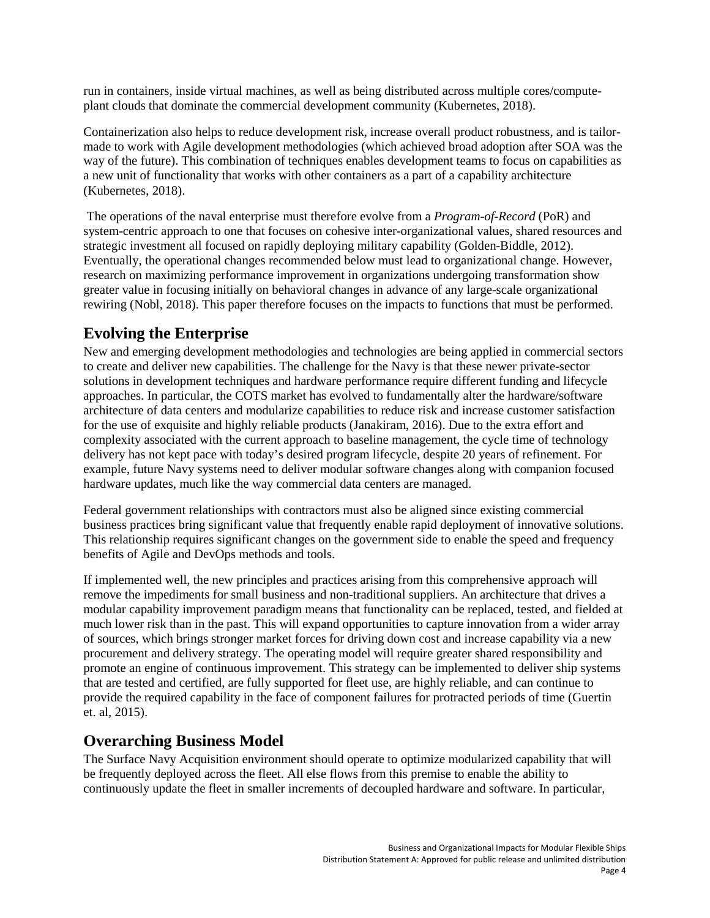run in containers, inside virtual machines, as well as being distributed across multiple cores/computeplant clouds that dominate the commercial development community (Kubernetes, 2018).

Containerization also helps to reduce development risk, increase overall product robustness, and is tailormade to work with Agile development methodologies (which achieved broad adoption after SOA was the way of the future). This combination of techniques enables development teams to focus on capabilities as a new unit of functionality that works with other containers as a part of a capability architecture (Kubernetes, 2018).

The operations of the naval enterprise must therefore evolve from a *Program-of-Record* (PoR) and system-centric approach to one that focuses on cohesive inter-organizational values, shared resources and strategic investment all focused on rapidly deploying military capability (Golden-Biddle, 2012). Eventually, the operational changes recommended below must lead to organizational change. However, research on maximizing performance improvement in organizations undergoing transformation show greater value in focusing initially on behavioral changes in advance of any large-scale organizational rewiring (Nobl, 2018). This paper therefore focuses on the impacts to functions that must be performed.

#### **Evolving the Enterprise**

New and emerging development methodologies and technologies are being applied in commercial sectors to create and deliver new capabilities. The challenge for the Navy is that these newer private-sector solutions in development techniques and hardware performance require different funding and lifecycle approaches. In particular, the COTS market has evolved to fundamentally alter the hardware/software architecture of data centers and modularize capabilities to reduce risk and increase customer satisfaction for the use of exquisite and highly reliable products (Janakiram, 2016). Due to the extra effort and complexity associated with the current approach to baseline management, the cycle time of technology delivery has not kept pace with today's desired program lifecycle, despite 20 years of refinement. For example, future Navy systems need to deliver modular software changes along with companion focused hardware updates, much like the way commercial data centers are managed.

Federal government relationships with contractors must also be aligned since existing commercial business practices bring significant value that frequently enable rapid deployment of innovative solutions. This relationship requires significant changes on the government side to enable the speed and frequency benefits of Agile and DevOps methods and tools.

If implemented well, the new principles and practices arising from this comprehensive approach will remove the impediments for small business and non-traditional suppliers. An architecture that drives a modular capability improvement paradigm means that functionality can be replaced, tested, and fielded at much lower risk than in the past. This will expand opportunities to capture innovation from a wider array of sources, which brings stronger market forces for driving down cost and increase capability via a new procurement and delivery strategy. The operating model will require greater shared responsibility and promote an engine of continuous improvement. This strategy can be implemented to deliver ship systems that are tested and certified, are fully supported for fleet use, are highly reliable, and can continue to provide the required capability in the face of component failures for protracted periods of time (Guertin et. al, 2015).

#### **Overarching Business Model**

The Surface Navy Acquisition environment should operate to optimize modularized capability that will be frequently deployed across the fleet. All else flows from this premise to enable the ability to continuously update the fleet in smaller increments of decoupled hardware and software. In particular,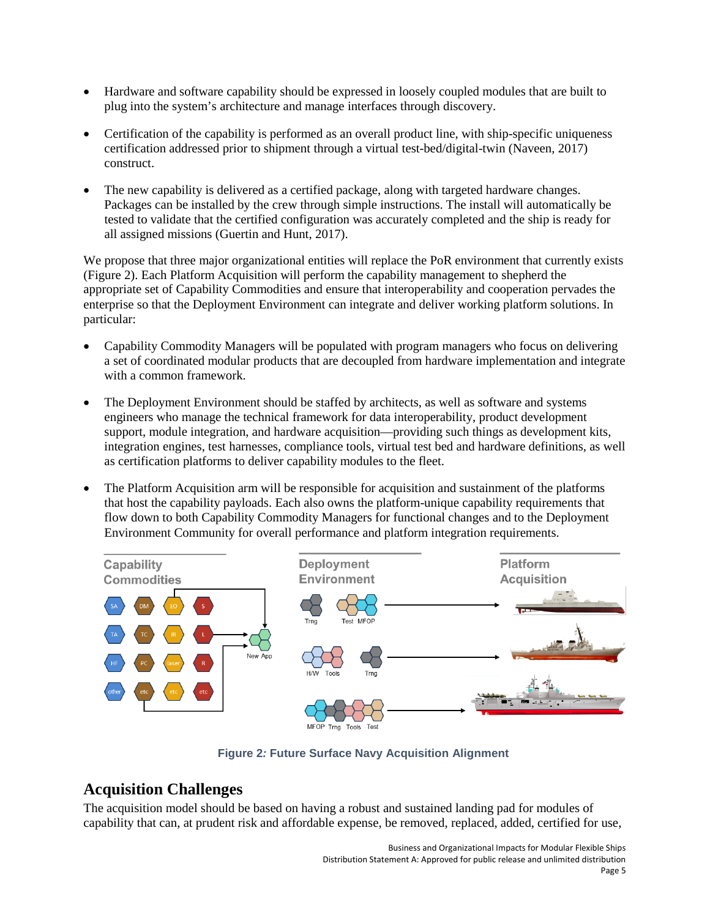- Hardware and software capability should be expressed in loosely coupled modules that are built to plug into the system's architecture and manage interfaces through discovery.
- Certification of the capability is performed as an overall product line, with ship-specific uniqueness certification addressed prior to shipment through a virtual test-bed/digital-twin (Naveen, 2017) construct.
- The new capability is delivered as a certified package, along with targeted hardware changes. Packages can be installed by the crew through simple instructions. The install will automatically be tested to validate that the certified configuration was accurately completed and the ship is ready for all assigned missions (Guertin and Hunt, 2017).

We propose that three major organizational entities will replace the PoR environment that currently exists (Figure 2). Each Platform Acquisition will perform the capability management to shepherd the appropriate set of Capability Commodities and ensure that interoperability and cooperation pervades the enterprise so that the Deployment Environment can integrate and deliver working platform solutions. In particular:

- Capability Commodity Managers will be populated with program managers who focus on delivering a set of coordinated modular products that are decoupled from hardware implementation and integrate with a common framework.
- The Deployment Environment should be staffed by architects, as well as software and systems engineers who manage the technical framework for data interoperability, product development support, module integration, and hardware acquisition—providing such things as development kits, integration engines, test harnesses, compliance tools, virtual test bed and hardware definitions, as well as certification platforms to deliver capability modules to the fleet.
- The Platform Acquisition arm will be responsible for acquisition and sustainment of the platforms that host the capability payloads. Each also owns the platform-unique capability requirements that flow down to both Capability Commodity Managers for functional changes and to the Deployment Environment Community for overall performance and platform integration requirements.



**Figure 2***:* **Future Surface Navy Acquisition Alignment**

#### **Acquisition Challenges**

The acquisition model should be based on having a robust and sustained landing pad for modules of capability that can, at prudent risk and affordable expense, be removed, replaced, added, certified for use,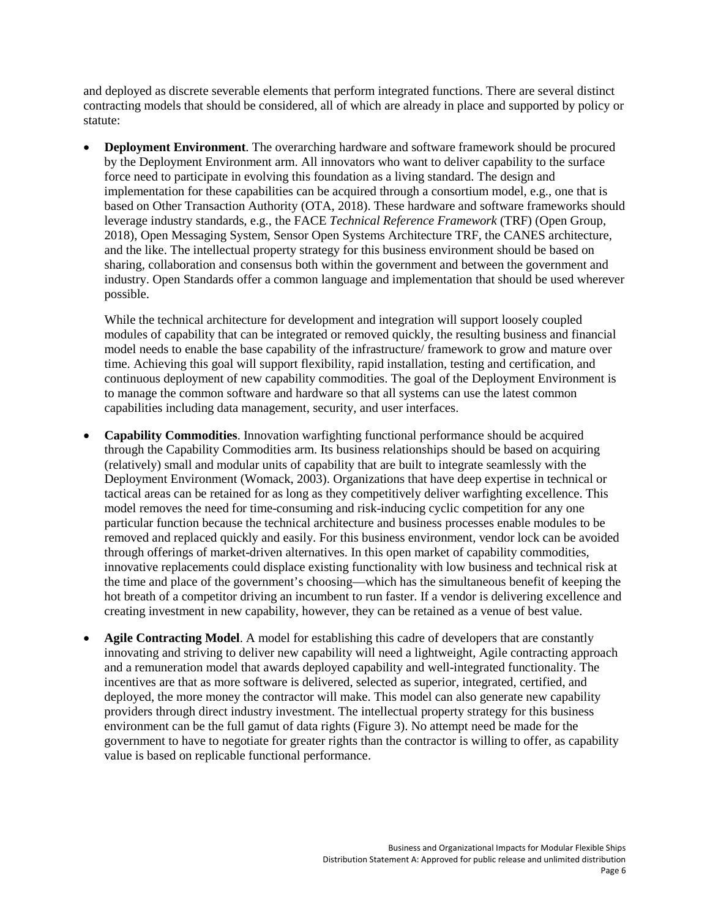and deployed as discrete severable elements that perform integrated functions. There are several distinct contracting models that should be considered, all of which are already in place and supported by policy or statute:

• **Deployment Environment**. The overarching hardware and software framework should be procured by the Deployment Environment arm. All innovators who want to deliver capability to the surface force need to participate in evolving this foundation as a living standard. The design and implementation for these capabilities can be acquired through a consortium model, e.g., one that is based on Other Transaction Authority (OTA, 2018). These hardware and software frameworks should leverage industry standards, e.g., the FACE *Technical Reference Framework* (TRF) (Open Group, 2018), Open Messaging System, Sensor Open Systems Architecture TRF, the CANES architecture, and the like. The intellectual property strategy for this business environment should be based on sharing, collaboration and consensus both within the government and between the government and industry. Open Standards offer a common language and implementation that should be used wherever possible.

While the technical architecture for development and integration will support loosely coupled modules of capability that can be integrated or removed quickly, the resulting business and financial model needs to enable the base capability of the infrastructure/ framework to grow and mature over time. Achieving this goal will support flexibility, rapid installation, testing and certification, and continuous deployment of new capability commodities. The goal of the Deployment Environment is to manage the common software and hardware so that all systems can use the latest common capabilities including data management, security, and user interfaces.

- **Capability Commodities**. Innovation warfighting functional performance should be acquired through the Capability Commodities arm. Its business relationships should be based on acquiring (relatively) small and modular units of capability that are built to integrate seamlessly with the Deployment Environment (Womack, 2003). Organizations that have deep expertise in technical or tactical areas can be retained for as long as they competitively deliver warfighting excellence. This model removes the need for time-consuming and risk-inducing cyclic competition for any one particular function because the technical architecture and business processes enable modules to be removed and replaced quickly and easily. For this business environment, vendor lock can be avoided through offerings of market-driven alternatives. In this open market of capability commodities, innovative replacements could displace existing functionality with low business and technical risk at the time and place of the government's choosing—which has the simultaneous benefit of keeping the hot breath of a competitor driving an incumbent to run faster. If a vendor is delivering excellence and creating investment in new capability, however, they can be retained as a venue of best value.
- **Agile Contracting Model**. A model for establishing this cadre of developers that are constantly innovating and striving to deliver new capability will need a lightweight, Agile contracting approach and a remuneration model that awards deployed capability and well-integrated functionality. The incentives are that as more software is delivered, selected as superior, integrated, certified, and deployed, the more money the contractor will make. This model can also generate new capability providers through direct industry investment. The intellectual property strategy for this business environment can be the full gamut of data rights (Figure 3). No attempt need be made for the government to have to negotiate for greater rights than the contractor is willing to offer, as capability value is based on replicable functional performance.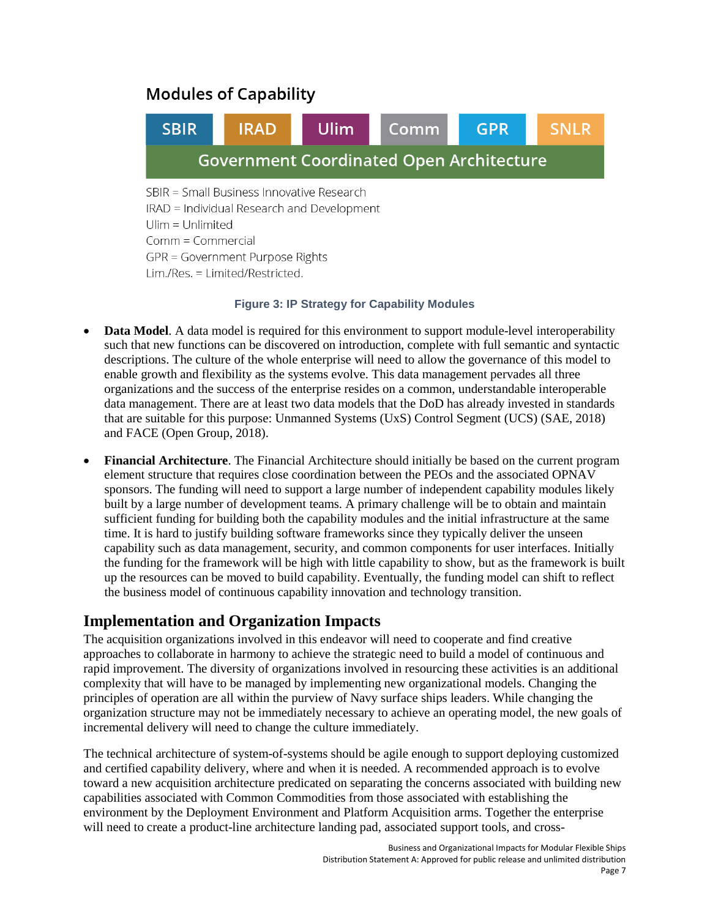# **Modules of Capability**



#### **Figure 3: IP Strategy for Capability Modules**

- **Data Model**. A data model is required for this environment to support module-level interoperability such that new functions can be discovered on introduction, complete with full semantic and syntactic descriptions. The culture of the whole enterprise will need to allow the governance of this model to enable growth and flexibility as the systems evolve. This data management pervades all three organizations and the success of the enterprise resides on a common, understandable interoperable data management. There are at least two data models that the DoD has already invested in standards that are suitable for this purpose: Unmanned Systems (UxS) Control Segment (UCS) (SAE, 2018) and FACE (Open Group, 2018).
- **Financial Architecture**. The Financial Architecture should initially be based on the current program element structure that requires close coordination between the PEOs and the associated OPNAV sponsors. The funding will need to support a large number of independent capability modules likely built by a large number of development teams. A primary challenge will be to obtain and maintain sufficient funding for building both the capability modules and the initial infrastructure at the same time. It is hard to justify building software frameworks since they typically deliver the unseen capability such as data management, security, and common components for user interfaces. Initially the funding for the framework will be high with little capability to show, but as the framework is built up the resources can be moved to build capability. Eventually, the funding model can shift to reflect the business model of continuous capability innovation and technology transition.

## **Implementation and Organization Impacts**

The acquisition organizations involved in this endeavor will need to cooperate and find creative approaches to collaborate in harmony to achieve the strategic need to build a model of continuous and rapid improvement. The diversity of organizations involved in resourcing these activities is an additional complexity that will have to be managed by implementing new organizational models. Changing the principles of operation are all within the purview of Navy surface ships leaders. While changing the organization structure may not be immediately necessary to achieve an operating model, the new goals of incremental delivery will need to change the culture immediately.

The technical architecture of system-of-systems should be agile enough to support deploying customized and certified capability delivery, where and when it is needed. A recommended approach is to evolve toward a new acquisition architecture predicated on separating the concerns associated with building new capabilities associated with Common Commodities from those associated with establishing the environment by the Deployment Environment and Platform Acquisition arms. Together the enterprise will need to create a product-line architecture landing pad, associated support tools, and cross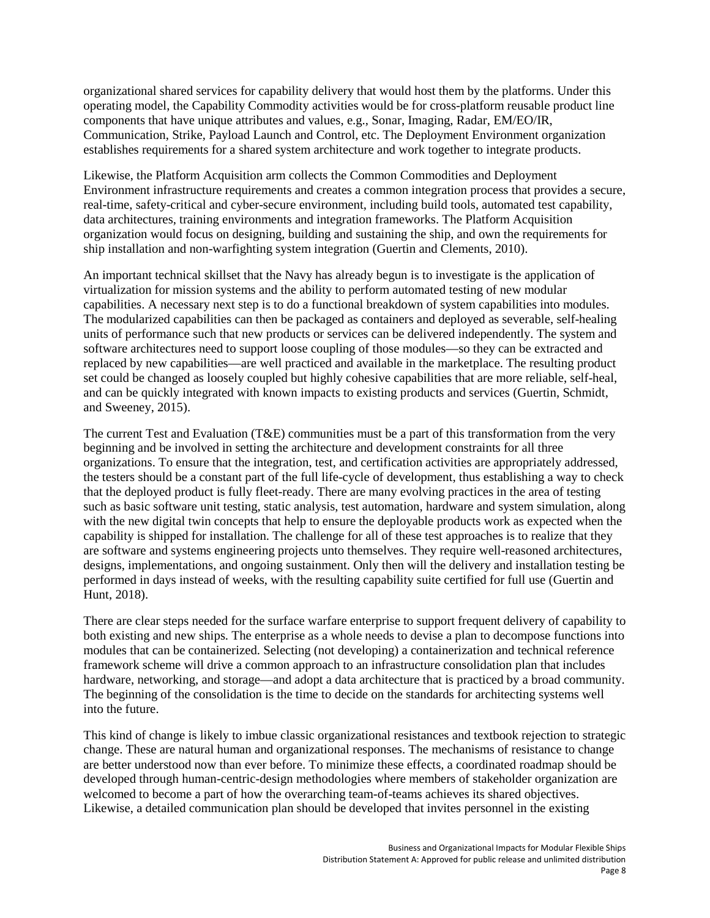organizational shared services for capability delivery that would host them by the platforms. Under this operating model, the Capability Commodity activities would be for cross-platform reusable product line components that have unique attributes and values, e.g., Sonar, Imaging, Radar, EM/EO/IR, Communication, Strike, Payload Launch and Control, etc. The Deployment Environment organization establishes requirements for a shared system architecture and work together to integrate products.

Likewise, the Platform Acquisition arm collects the Common Commodities and Deployment Environment infrastructure requirements and creates a common integration process that provides a secure, real-time, safety-critical and cyber-secure environment, including build tools, automated test capability, data architectures, training environments and integration frameworks. The Platform Acquisition organization would focus on designing, building and sustaining the ship, and own the requirements for ship installation and non-warfighting system integration (Guertin and Clements, 2010).

An important technical skillset that the Navy has already begun is to investigate is the application of virtualization for mission systems and the ability to perform automated testing of new modular capabilities. A necessary next step is to do a functional breakdown of system capabilities into modules. The modularized capabilities can then be packaged as containers and deployed as severable, self-healing units of performance such that new products or services can be delivered independently. The system and software architectures need to support loose coupling of those modules—so they can be extracted and replaced by new capabilities—are well practiced and available in the marketplace. The resulting product set could be changed as loosely coupled but highly cohesive capabilities that are more reliable, self-heal, and can be quickly integrated with known impacts to existing products and services (Guertin, Schmidt, and Sweeney, 2015).

The current Test and Evaluation (T&E) communities must be a part of this transformation from the very beginning and be involved in setting the architecture and development constraints for all three organizations. To ensure that the integration, test, and certification activities are appropriately addressed, the testers should be a constant part of the full life-cycle of development, thus establishing a way to check that the deployed product is fully fleet-ready. There are many evolving practices in the area of testing such as basic software unit testing, static analysis, test automation, hardware and system simulation, along with the new digital twin concepts that help to ensure the deployable products work as expected when the capability is shipped for installation. The challenge for all of these test approaches is to realize that they are software and systems engineering projects unto themselves. They require well-reasoned architectures, designs, implementations, and ongoing sustainment. Only then will the delivery and installation testing be performed in days instead of weeks, with the resulting capability suite certified for full use (Guertin and Hunt, 2018).

There are clear steps needed for the surface warfare enterprise to support frequent delivery of capability to both existing and new ships. The enterprise as a whole needs to devise a plan to decompose functions into modules that can be containerized. Selecting (not developing) a containerization and technical reference framework scheme will drive a common approach to an infrastructure consolidation plan that includes hardware, networking, and storage—and adopt a data architecture that is practiced by a broad community. The beginning of the consolidation is the time to decide on the standards for architecting systems well into the future.

This kind of change is likely to imbue classic organizational resistances and textbook rejection to strategic change. These are natural human and organizational responses. The mechanisms of resistance to change are better understood now than ever before. To minimize these effects, a coordinated roadmap should be developed through human-centric-design methodologies where members of stakeholder organization are welcomed to become a part of how the overarching team-of-teams achieves its shared objectives. Likewise, a detailed communication plan should be developed that invites personnel in the existing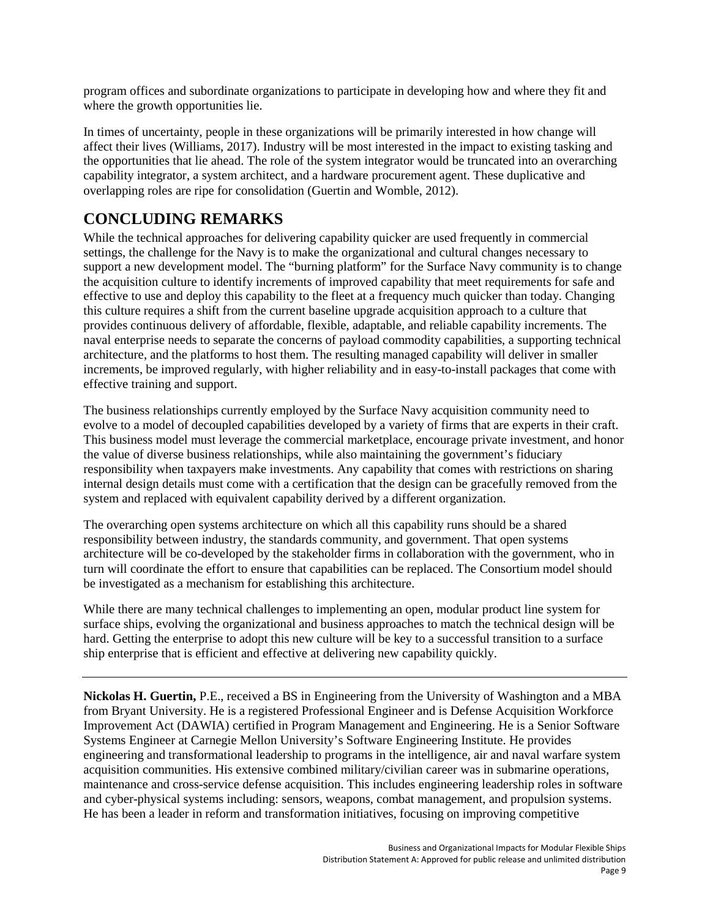program offices and subordinate organizations to participate in developing how and where they fit and where the growth opportunities lie.

In times of uncertainty, people in these organizations will be primarily interested in how change will affect their lives (Williams, 2017). Industry will be most interested in the impact to existing tasking and the opportunities that lie ahead. The role of the system integrator would be truncated into an overarching capability integrator, a system architect, and a hardware procurement agent. These duplicative and overlapping roles are ripe for consolidation (Guertin and Womble, 2012).

## **CONCLUDING REMARKS**

While the technical approaches for delivering capability quicker are used frequently in commercial settings, the challenge for the Navy is to make the organizational and cultural changes necessary to support a new development model. The "burning platform" for the Surface Navy community is to change the acquisition culture to identify increments of improved capability that meet requirements for safe and effective to use and deploy this capability to the fleet at a frequency much quicker than today. Changing this culture requires a shift from the current baseline upgrade acquisition approach to a culture that provides continuous delivery of affordable, flexible, adaptable, and reliable capability increments. The naval enterprise needs to separate the concerns of payload commodity capabilities, a supporting technical architecture, and the platforms to host them. The resulting managed capability will deliver in smaller increments, be improved regularly, with higher reliability and in easy-to-install packages that come with effective training and support.

The business relationships currently employed by the Surface Navy acquisition community need to evolve to a model of decoupled capabilities developed by a variety of firms that are experts in their craft. This business model must leverage the commercial marketplace, encourage private investment, and honor the value of diverse business relationships, while also maintaining the government's fiduciary responsibility when taxpayers make investments. Any capability that comes with restrictions on sharing internal design details must come with a certification that the design can be gracefully removed from the system and replaced with equivalent capability derived by a different organization.

The overarching open systems architecture on which all this capability runs should be a shared responsibility between industry, the standards community, and government. That open systems architecture will be co-developed by the stakeholder firms in collaboration with the government, who in turn will coordinate the effort to ensure that capabilities can be replaced. The Consortium model should be investigated as a mechanism for establishing this architecture.

While there are many technical challenges to implementing an open, modular product line system for surface ships, evolving the organizational and business approaches to match the technical design will be hard. Getting the enterprise to adopt this new culture will be key to a successful transition to a surface ship enterprise that is efficient and effective at delivering new capability quickly.

**Nickolas H. Guertin,** P.E., received a BS in Engineering from the University of Washington and a MBA from Bryant University. He is a registered Professional Engineer and is Defense Acquisition Workforce Improvement Act (DAWIA) certified in Program Management and Engineering. He is a Senior Software Systems Engineer at Carnegie Mellon University's Software Engineering Institute. He provides engineering and transformational leadership to programs in the intelligence, air and naval warfare system acquisition communities. His extensive combined military/civilian career was in submarine operations, maintenance and cross-service defense acquisition. This includes engineering leadership roles in software and cyber-physical systems including: sensors, weapons, combat management, and propulsion systems. He has been a leader in reform and transformation initiatives, focusing on improving competitive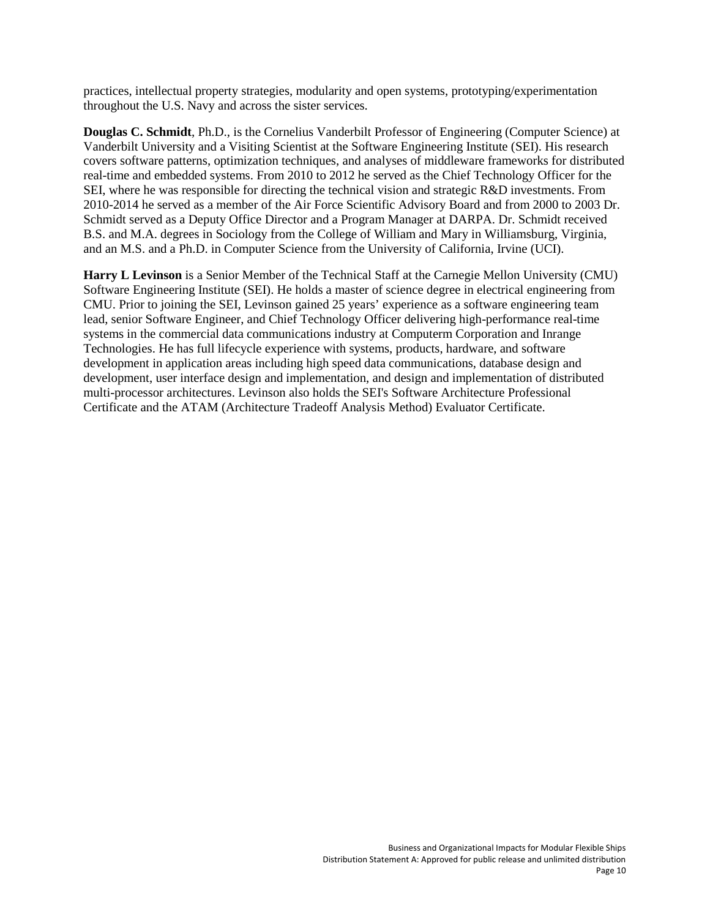practices, intellectual property strategies, modularity and open systems, prototyping/experimentation throughout the U.S. Navy and across the sister services.

**Douglas C. Schmidt**, Ph.D., is the Cornelius Vanderbilt Professor of Engineering (Computer Science) at Vanderbilt University and a Visiting Scientist at the Software Engineering Institute (SEI). His research covers software patterns, optimization techniques, and analyses of middleware frameworks for distributed real-time and embedded systems. From 2010 to 2012 he served as the Chief Technology Officer for the SEI, where he was responsible for directing the technical vision and strategic R&D investments. From 2010-2014 he served as a member of the Air Force Scientific Advisory Board and from 2000 to 2003 Dr. Schmidt served as a Deputy Office Director and a Program Manager at DARPA. Dr. Schmidt received B.S. and M.A. degrees in Sociology from the College of William and Mary in Williamsburg, Virginia, and an M.S. and a Ph.D. in Computer Science from the University of California, Irvine (UCI).

**Harry L Levinson** is a Senior Member of the Technical Staff at the Carnegie Mellon University (CMU) Software Engineering Institute (SEI). He holds a master of science degree in electrical engineering from CMU. Prior to joining the SEI, Levinson gained 25 years' experience as a software engineering team lead, senior Software Engineer, and Chief Technology Officer delivering high-performance real-time systems in the commercial data communications industry at Computerm Corporation and Inrange Technologies. He has full lifecycle experience with systems, products, hardware, and software development in application areas including high speed data communications, database design and development, user interface design and implementation, and design and implementation of distributed multi-processor architectures. Levinson also holds the SEI's Software Architecture Professional Certificate and the ATAM (Architecture Tradeoff Analysis Method) Evaluator Certificate.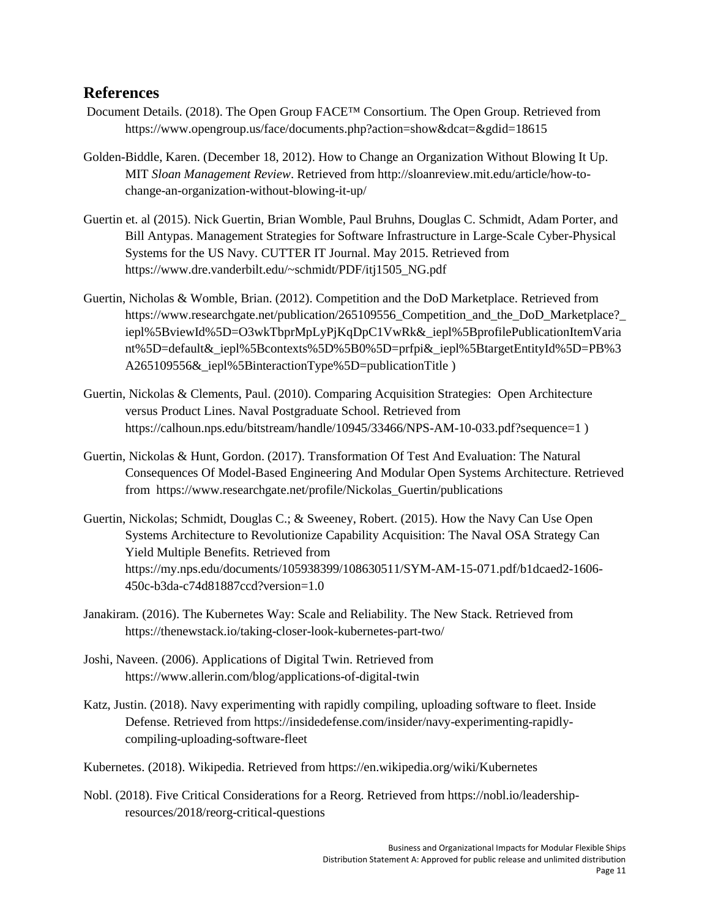#### **References**

- Document Details. (2018). The Open Group FACE™ Consortium. The Open Group. Retrieved from https://www.opengroup.us/face/documents.php?action=show&dcat=&gdid=18615
- Golden-Biddle, Karen. (December 18, 2012). How to Change an Organization Without Blowing It Up. MIT *Sloan Management Review*. Retrieved from http://sloanreview.mit.edu/article/how-tochange-an-organization-without-blowing-it-up/
- Guertin et. al (2015). Nick Guertin, Brian Womble, Paul Bruhns, Douglas C. Schmidt, Adam Porter, and Bill Antypas. Management Strategies for Software Infrastructure in Large-Scale Cyber-Physical Systems for the US Navy. CUTTER IT Journal. May 2015. Retrieved from https://www.dre.vanderbilt.edu/~schmidt/PDF/itj1505\_NG.pdf
- Guertin, Nicholas & Womble, Brian. (2012). Competition and the DoD Marketplace. Retrieved from https://www.researchgate.net/publication/265109556 Competition and the DoD Marketplace? iepl%5BviewId%5D=O3wkTbprMpLyPjKqDpC1VwRk&\_iepl%5BprofilePublicationItemVaria nt%5D=default&\_iepl%5Bcontexts%5D%5B0%5D=prfpi&\_iepl%5BtargetEntityId%5D=PB%3 A265109556&\_iepl%5BinteractionType%5D=publicationTitle )
- Guertin, Nickolas & Clements, Paul. (2010). Comparing Acquisition Strategies: Open Architecture versus Product Lines. Naval Postgraduate School. Retrieved from https://calhoun.nps.edu/bitstream/handle/10945/33466/NPS-AM-10-033.pdf?sequence=1 )
- Guertin, Nickolas & Hunt, Gordon. (2017). Transformation Of Test And Evaluation: The Natural Consequences Of Model-Based Engineering And Modular Open Systems Architecture. Retrieved from https://www.researchgate.net/profile/Nickolas\_Guertin/publications
- Guertin, Nickolas; Schmidt, Douglas C.; & Sweeney, Robert. (2015). How the Navy Can Use Open Systems Architecture to Revolutionize Capability Acquisition: The Naval OSA Strategy Can Yield Multiple Benefits. Retrieved from https://my.nps.edu/documents/105938399/108630511/SYM-AM-15-071.pdf/b1dcaed2-1606- 450c-b3da-c74d81887ccd?version=1.0
- Janakiram. (2016). The Kubernetes Way: Scale and Reliability. The New Stack. Retrieved from https://thenewstack.io/taking-closer-look-kubernetes-part-two/
- Joshi, Naveen. (2006). Applications of Digital Twin. Retrieved from https://www.allerin.com/blog/applications-of-digital-twin
- Katz, Justin. (2018). Navy experimenting with rapidly compiling, uploading software to fleet. Inside Defense. Retrieved from [https://insidedefense.com/insider/navy-experimenting-rapidly](https://insidedefense.com/insider/navy-experimenting-rapidly-compiling-uploading-software-fleet)[compiling-uploading-software-fleet](https://insidedefense.com/insider/navy-experimenting-rapidly-compiling-uploading-software-fleet)
- Kubernetes. (2018). Wikipedia. Retrieved from https://en.wikipedia.org/wiki/Kubernetes
- Nobl. (2018). Five Critical Considerations for a Reorg. Retrieved from https://nobl.io/leadershipresources/2018/reorg-critical-questions